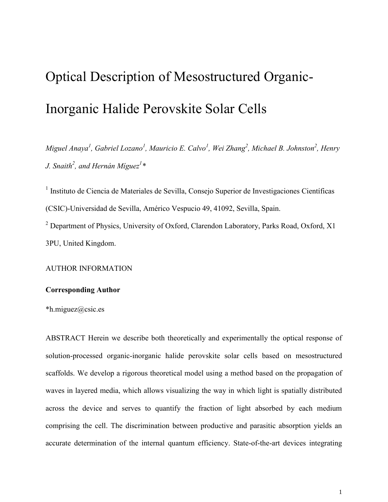# Optical Description of Mesostructured Organic-Inorganic Halide Perovskite Solar Cells

*Miguel Anaya<sup>1</sup> , Gabriel Lozano<sup>1</sup> , Mauricio E. Calvo<sup>1</sup> , Wei Zhang<sup>2</sup> , Michael B. Johnston<sup>2</sup> , Henry J. Snaith<sup>2</sup> , and Hernán Míguez<sup>1</sup> \**

<sup>1</sup> Instituto de Ciencia de Materiales de Sevilla, Consejo Superior de Investigaciones Científicas (CSIC)-Universidad de Sevilla, Américo Vespucio 49, 41092, Sevilla, Spain. <sup>2</sup> Department of Physics, University of Oxford, Clarendon Laboratory, Parks Road, Oxford, X1 3PU, United Kingdom.

AUTHOR INFORMATION

# **Corresponding Author**

\*h.miguez@csic.es

ABSTRACT Herein we describe both theoretically and experimentally the optical response of solution-processed organic-inorganic halide perovskite solar cells based on mesostructured scaffolds. We develop a rigorous theoretical model using a method based on the propagation of waves in layered media, which allows visualizing the way in which light is spatially distributed across the device and serves to quantify the fraction of light absorbed by each medium comprising the cell. The discrimination between productive and parasitic absorption yields an accurate determination of the internal quantum efficiency. State-of-the-art devices integrating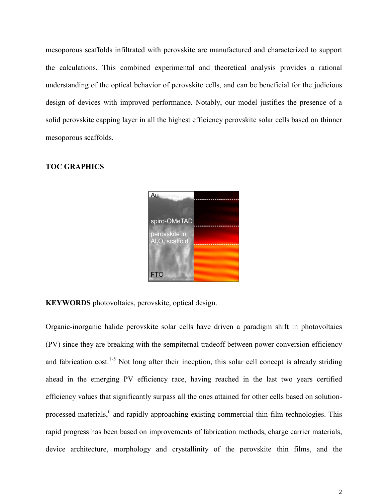mesoporous scaffolds infiltrated with perovskite are manufactured and characterized to support the calculations. This combined experimental and theoretical analysis provides a rational understanding of the optical behavior of perovskite cells, and can be beneficial for the judicious design of devices with improved performance. Notably, our model justifies the presence of a solid perovskite capping layer in all the highest efficiency perovskite solar cells based on thinner mesoporous scaffolds.

#### **TOC GRAPHICS**



**KEYWORDS** photovoltaics, perovskite, optical design.

Organic-inorganic halide perovskite solar cells have driven a paradigm shift in photovoltaics (PV) since they are breaking with the sempiternal tradeoff between power conversion efficiency and fabrication cost.<sup>1-5</sup> Not long after their inception, this solar cell concept is already striding ahead in the emerging PV efficiency race, having reached in the last two years certified efficiency values that significantly surpass all the ones attained for other cells based on solutionprocessed materials,<sup>6</sup> and rapidly approaching existing commercial thin-film technologies. This rapid progress has been based on improvements of fabrication methods, charge carrier materials, device architecture, morphology and crystallinity of the perovskite thin films, and the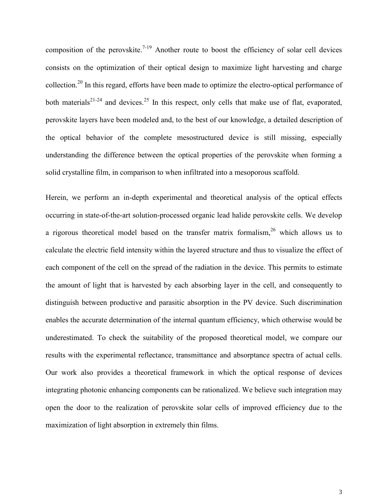<span id="page-2-2"></span><span id="page-2-1"></span><span id="page-2-0"></span>composition of the perovskite.<sup>7-19</sup> Another route to boost the efficiency of solar cell devices consists on the optimization of their optical design to maximize light harvesting and charge collection.<sup>20</sup> In this regard, efforts have been made to optimize the electro-optical performance of both materials<sup>21-24</sup> and devices.<sup>25</sup> In this respect, only cells that make use of flat, evaporated, perovskite layers have been modeled and, to the best of our knowledge, a detailed description of the optical behavior of the complete mesostructured device is still missing, especially understanding the difference between the optical properties of the perovskite when forming a solid crystalline film, in comparison to when infiltrated into a mesoporous scaffold.

Herein, we perform an in-depth experimental and theoretical analysis of the optical effects occurring in state-of-the-art solution-processed organic lead halide perovskite cells. We develop a rigorous theoretical model based on the transfer matrix formalism,  $26$  which allows us to calculate the electric field intensity within the layered structure and thus to visualize the effect of each component of the cell on the spread of the radiation in the device. This permits to estimate the amount of light that is harvested by each absorbing layer in the cell, and consequently to distinguish between productive and parasitic absorption in the PV device. Such discrimination enables the accurate determination of the internal quantum efficiency, which otherwise would be underestimated. To check the suitability of the proposed theoretical model, we compare our results with the experimental reflectance, transmittance and absorptance spectra of actual cells. Our work also provides a theoretical framework in which the optical response of devices integrating photonic enhancing components can be rationalized. We believe such integration may open the door to the realization of perovskite solar cells of improved efficiency due to the maximization of light absorption in extremely thin films.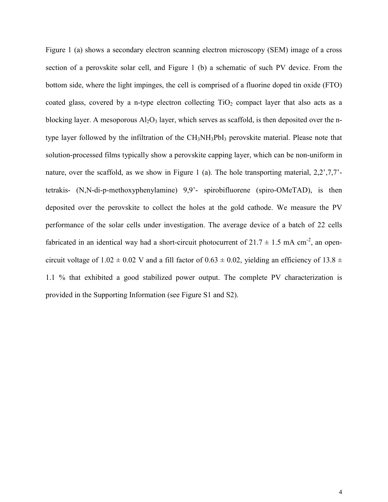Figure 1 (a) shows a secondary electron scanning electron microscopy (SEM) image of a cross section of a perovskite solar cell, and Figure 1 (b) a schematic of such PV device. From the bottom side, where the light impinges, the cell is comprised of a fluorine doped tin oxide (FTO) coated glass, covered by a n-type electron collecting  $TiO<sub>2</sub>$  compact layer that also acts as a blocking layer. A mesoporous  $Al_2O_3$  layer, which serves as scaffold, is then deposited over the ntype layer followed by the infiltration of the CH<sub>3</sub>NH<sub>3</sub>PbI<sub>3</sub> perovskite material. Please note that solution-processed films typically show a perovskite capping layer, which can be non-uniform in nature, over the scaffold, as we show in Figure 1 (a). The hole transporting material,  $2.2^{\circ},7.7^{\circ}$ tetrakis- (N,N-di-p-methoxyphenylamine) 9,9'- spirobifluorene (spiro-OMeTAD), is then deposited over the perovskite to collect the holes at the gold cathode. We measure the PV performance of the solar cells under investigation. The average device of a batch of 22 cells fabricated in an identical way had a short-circuit photocurrent of  $21.7 \pm 1.5$  mA cm<sup>-2</sup>, an opencircuit voltage of 1.02  $\pm$  0.02 V and a fill factor of 0.63  $\pm$  0.02, yielding an efficiency of 13.8  $\pm$ 1.1 % that exhibited a good stabilized power output. The complete PV characterization is provided in the Supporting Information (see Figure S1 and S2).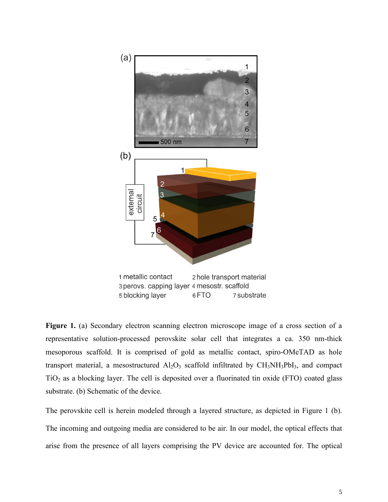

Figure 1. (a) Secondary electron scanning electron microscope image of a cross section of a representative solution-processed perovskite solar cell that integrates a ca. 350 nm-thick mesoporous scaffold. It is comprised of gold as metallic contact, spiro-OMeTAD as hole transport material, a mesostructured  $Al_2O_3$  scaffold infiltrated by  $CH_3NH_3PbI_3$ , and compact  $TiO<sub>2</sub>$  as a blocking layer. The cell is deposited over a fluorinated tin oxide (FTO) coated glass substrate. (b) Schematic of the device.

The perovskite cell is herein modeled through a layered structure, as depicted in Figure 1 (b). The incoming and outgoing media are considered to be air. In our model, the optical effects that arise from the presence of all layers comprising the PV device are accounted for. The optical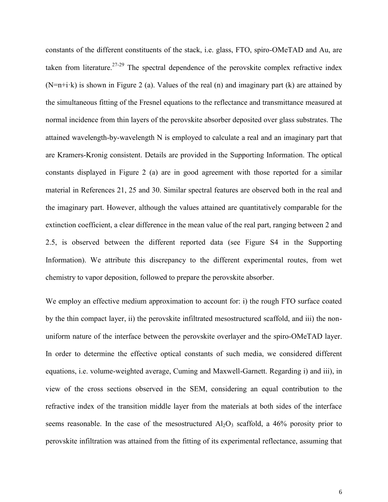constants of the different constituents of the stack, i.e. glass, FTO, spiro-OMeTAD and Au, are taken from literature.<sup>27-29</sup> The spectral dependence of the perovskite complex refractive index  $(N=n+i\cdot k)$  is shown in Figure 2 (a). Values of the real (n) and imaginary part (k) are attained by the simultaneous fitting of the Fresnel equations to the reflectance and transmittance measured at normal incidence from thin layers of the perovskite absorber deposited over glass substrates. The attained wavelength-by-wavelength N is employed to calculate a real and an imaginary part that are Kramers-Kronig consistent. Details are provided in the Supporting Information. The optical constants displayed in Figure 2 (a) are in good agreement with those reported for a similar material in References [21,](#page-2-0) [25](#page-2-1) and 30. Similar spectral features are observed both in the real and the imaginary part. However, although the values attained are quantitatively comparable for the extinction coefficient, a clear difference in the mean value of the real part, ranging between 2 and 2.5, is observed between the different reported data (see Figure S4 in the Supporting Information). We attribute this discrepancy to the different experimental routes, from wet chemistry to vapor deposition, followed to prepare the perovskite absorber.

We employ an effective medium approximation to account for: i) the rough FTO surface coated by the thin compact layer, ii) the perovskite infiltrated mesostructured scaffold, and iii) the nonuniform nature of the interface between the perovskite overlayer and the spiro-OMeTAD layer. In order to determine the effective optical constants of such media, we considered different equations, i.e. volume-weighted average, Cuming and Maxwell-Garnett. Regarding i) and iii), in view of the cross sections observed in the SEM, considering an equal contribution to the refractive index of the transition middle layer from the materials at both sides of the interface seems reasonable. In the case of the mesostructured  $Al_2O_3$  scaffold, a 46% porosity prior to perovskite infiltration was attained from the fitting of its experimental reflectance, assuming that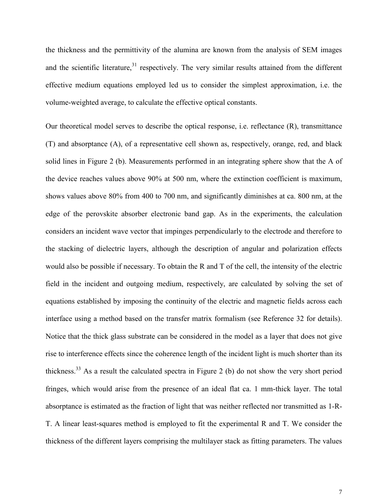the thickness and the permittivity of the alumina are known from the analysis of SEM images and the scientific literature, $31$  respectively. The very similar results attained from the different effective medium equations employed led us to consider the simplest approximation, i.e. the volume-weighted average, to calculate the effective optical constants.

Our theoretical model serves to describe the optical response, i.e. reflectance (R), transmittance (T) and absorptance (A), of a representative cell shown as, respectively, orange, red, and black solid lines in Figure 2 (b). Measurements performed in an integrating sphere show that the A of the device reaches values above 90% at 500 nm, where the extinction coefficient is maximum, shows values above 80% from 400 to 700 nm, and significantly diminishes at ca. 800 nm, at the edge of the perovskite absorber electronic band gap. As in the experiments, the calculation considers an incident wave vector that impinges perpendicularly to the electrode and therefore to the stacking of dielectric layers, although the description of angular and polarization effects would also be possible if necessary. To obtain the R and T of the cell, the intensity of the electric field in the incident and outgoing medium, respectively, are calculated by solving the set of equations established by imposing the continuity of the electric and magnetic fields across each interface using a method based on the transfer matrix formalism (see Reference 32 for details). Notice that the thick glass substrate can be considered in the model as a layer that does not give rise to interference effects since the coherence length of the incident light is much shorter than its thickness.<sup>33</sup> As a result the calculated spectra in Figure 2 (b) do not show the very short period fringes, which would arise from the presence of an ideal flat ca. 1 mm-thick layer. The total absorptance is estimated as the fraction of light that was neither reflected nor transmitted as 1-R-T. A linear least-squares method is employed to fit the experimental R and T. We consider the thickness of the different layers comprising the multilayer stack as fitting parameters. The values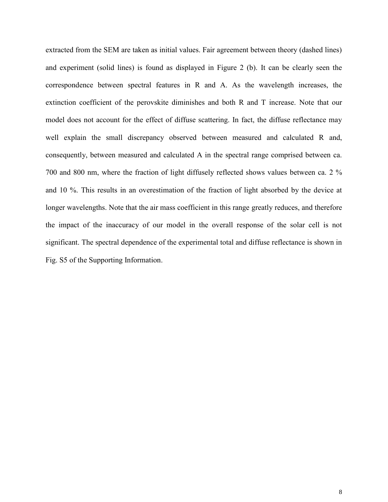extracted from the SEM are taken as initial values. Fair agreement between theory (dashed lines) and experiment (solid lines) is found as displayed in Figure 2 (b). It can be clearly seen the correspondence between spectral features in R and A. As the wavelength increases, the extinction coefficient of the perovskite diminishes and both R and T increase. Note that our model does not account for the effect of diffuse scattering. In fact, the diffuse reflectance may well explain the small discrepancy observed between measured and calculated R and, consequently, between measured and calculated A in the spectral range comprised between ca. 700 and 800 nm, where the fraction of light diffusely reflected shows values between ca. 2 % and 10 %. This results in an overestimation of the fraction of light absorbed by the device at longer wavelengths. Note that the air mass coefficient in this range greatly reduces, and therefore the impact of the inaccuracy of our model in the overall response of the solar cell is not significant. The spectral dependence of the experimental total and diffuse reflectance is shown in Fig. S5 of the Supporting Information.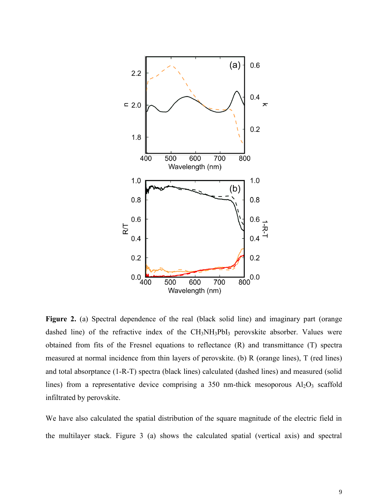

**Figure 2.** (a) Spectral dependence of the real (black solid line) and imaginary part (orange dashed line) of the refractive index of the  $CH<sub>3</sub>NH<sub>3</sub>PbI<sub>3</sub>$  perovskite absorber. Values were obtained from fits of the Fresnel equations to reflectance (R) and transmittance (T) spectra measured at normal incidence from thin layers of perovskite. (b) R (orange lines), T (red lines) and total absorptance (1-R-T) spectra (black lines) calculated (dashed lines) and measured (solid lines) from a representative device comprising a 350 nm-thick mesoporous  $Al_2O_3$  scaffold infiltrated by perovskite.

We have also calculated the spatial distribution of the square magnitude of the electric field in the multilayer stack. Figure 3 (a) shows the calculated spatial (vertical axis) and spectral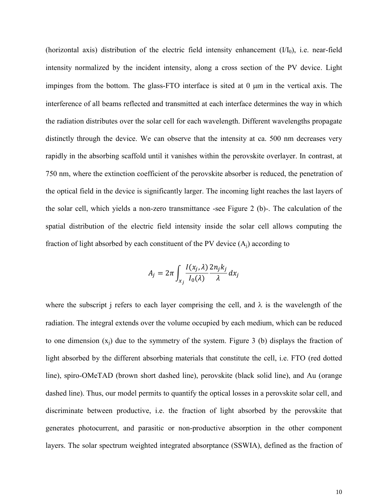(horizontal axis) distribution of the electric field intensity enhancement  $(VI<sub>0</sub>)$ , i.e. near-field intensity normalized by the incident intensity, along a cross section of the PV device. Light impinges from the bottom. The glass-FTO interface is sited at  $0 \mu m$  in the vertical axis. The interference of all beams reflected and transmitted at each interface determines the way in which the radiation distributes over the solar cell for each wavelength. Different wavelengths propagate distinctly through the device. We can observe that the intensity at ca. 500 nm decreases very rapidly in the absorbing scaffold until it vanishes within the perovskite overlayer. In contrast, at 750 nm, where the extinction coefficient of the perovskite absorber is reduced, the penetration of the optical field in the device is significantly larger. The incoming light reaches the last layers of the solar cell, which yields a non-zero transmittance -see Figure 2 (b)-. The calculation of the spatial distribution of the electric field intensity inside the solar cell allows computing the fraction of light absorbed by each constituent of the PV device  $(A_i)$  according to

$$
A_j = 2\pi \int_{x_j} \frac{I(x_j, \lambda)}{I_0(\lambda)} \frac{2n_j k_j}{\lambda} dx_j
$$

where the subscript j refers to each layer comprising the cell, and  $\lambda$  is the wavelength of the radiation. The integral extends over the volume occupied by each medium, which can be reduced to one dimension  $(x<sub>i</sub>)$  due to the symmetry of the system. Figure 3 (b) displays the fraction of light absorbed by the different absorbing materials that constitute the cell, i.e. FTO (red dotted line), spiro-OMeTAD (brown short dashed line), perovskite (black solid line), and Au (orange dashed line). Thus, our model permits to quantify the optical losses in a perovskite solar cell, and discriminate between productive, i.e. the fraction of light absorbed by the perovskite that generates photocurrent, and parasitic or non-productive absorption in the other component layers. The solar spectrum weighted integrated absorptance (SSWIA), defined as the fraction of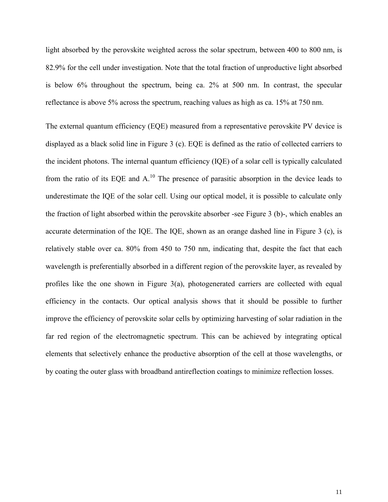light absorbed by the perovskite weighted across the solar spectrum, between 400 to 800 nm, is 82.9% for the cell under investigation. Note that the total fraction of unproductive light absorbed is below 6% throughout the spectrum, being ca. 2% at 500 nm. In contrast, the specular reflectance is above 5% across the spectrum, reaching values as high as ca. 15% at 750 nm.

The external quantum efficiency (EQE) measured from a representative perovskite PV device is displayed as a black solid line in Figure 3 (c). EQE is defined as the ratio of collected carriers to the incident photons. The internal quantum efficiency (IQE) of a solar cell is typically calculated from the ratio of its EQE and  $A<sup>10</sup>$  $A<sup>10</sup>$  $A<sup>10</sup>$ . The presence of parasitic absorption in the device leads to underestimate the IQE of the solar cell. Using our optical model, it is possible to calculate only the fraction of light absorbed within the perovskite absorber -see Figure 3 (b)-, which enables an accurate determination of the IQE. The IQE, shown as an orange dashed line in Figure 3 (c), is relatively stable over ca. 80% from 450 to 750 nm, indicating that, despite the fact that each wavelength is preferentially absorbed in a different region of the perovskite layer, as revealed by profiles like the one shown in Figure 3(a), photogenerated carriers are collected with equal efficiency in the contacts. Our optical analysis shows that it should be possible to further improve the efficiency of perovskite solar cells by optimizing harvesting of solar radiation in the far red region of the electromagnetic spectrum. This can be achieved by integrating optical elements that selectively enhance the productive absorption of the cell at those wavelengths, or by coating the outer glass with broadband antireflection coatings to minimize reflection losses.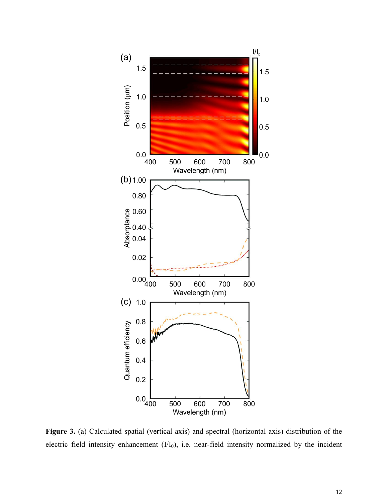

**Figure 3.** (a) Calculated spatial (vertical axis) and spectral (horizontal axis) distribution of the electric field intensity enhancement  $(I/I_0)$ , i.e. near-field intensity normalized by the incident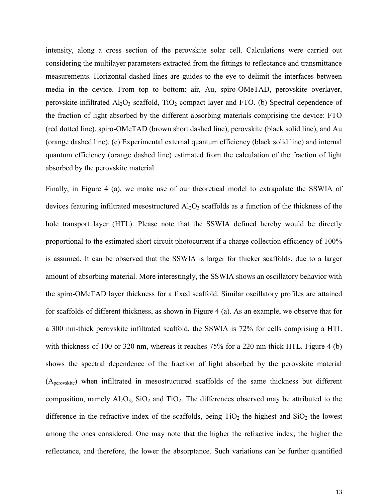intensity, along a cross section of the perovskite solar cell. Calculations were carried out considering the multilayer parameters extracted from the fittings to reflectance and transmittance measurements. Horizontal dashed lines are guides to the eye to delimit the interfaces between media in the device. From top to bottom: air, Au, spiro-OMeTAD, perovskite overlayer, perovskite-infiltrated  $Al_2O_3$  scaffold,  $TiO_2$  compact layer and FTO. (b) Spectral dependence of the fraction of light absorbed by the different absorbing materials comprising the device: FTO (red dotted line), spiro-OMeTAD (brown short dashed line), perovskite (black solid line), and Au (orange dashed line). (c) Experimental external quantum efficiency (black solid line) and internal quantum efficiency (orange dashed line) estimated from the calculation of the fraction of light absorbed by the perovskite material.

Finally, in Figure 4 (a), we make use of our theoretical model to extrapolate the SSWIA of devices featuring infiltrated mesostructured  $Al_2O_3$  scaffolds as a function of the thickness of the hole transport layer (HTL). Please note that the SSWIA defined hereby would be directly proportional to the estimated short circuit photocurrent if a charge collection efficiency of 100% is assumed. It can be observed that the SSWIA is larger for thicker scaffolds, due to a larger amount of absorbing material. More interestingly, the SSWIA shows an oscillatory behavior with the spiro-OMeTAD layer thickness for a fixed scaffold. Similar oscillatory profiles are attained for scaffolds of different thickness, as shown in Figure 4 (a). As an example, we observe that for a 300 nm-thick perovskite infiltrated scaffold, the SSWIA is 72% for cells comprising a HTL with thickness of 100 or 320 nm, whereas it reaches 75% for a 220 nm-thick HTL. Figure 4 (b) shows the spectral dependence of the fraction of light absorbed by the perovskite material (Aperovskite) when infiltrated in mesostructured scaffolds of the same thickness but different composition, namely  $Al_2O_3$ ,  $SiO_2$  and  $TiO_2$ . The differences observed may be attributed to the difference in the refractive index of the scaffolds, being  $TiO<sub>2</sub>$  the highest and  $SiO<sub>2</sub>$  the lowest among the ones considered. One may note that the higher the refractive index, the higher the reflectance, and therefore, the lower the absorptance. Such variations can be further quantified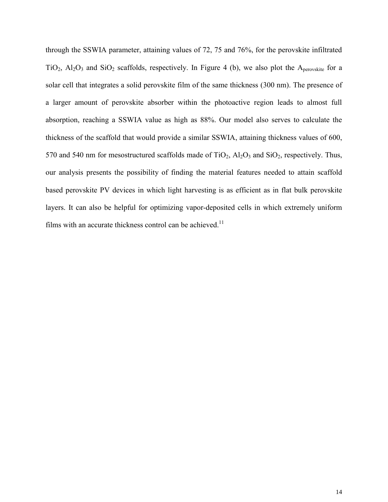through the SSWIA parameter, attaining values of 72, 75 and 76%, for the perovskite infiltrated TiO<sub>2</sub>,  $Al_2O_3$  and SiO<sub>2</sub> scaffolds, respectively. In Figure 4 (b), we also plot the A<sub>perovskite</sub> for a solar cell that integrates a solid perovskite film of the same thickness (300 nm). The presence of a larger amount of perovskite absorber within the photoactive region leads to almost full absorption, reaching a SSWIA value as high as 88%. Our model also serves to calculate the thickness of the scaffold that would provide a similar SSWIA, attaining thickness values of 600, 570 and 540 nm for mesostructured scaffolds made of  $TiO<sub>2</sub>$ ,  $Al<sub>2</sub>O<sub>3</sub>$  and  $SiO<sub>2</sub>$ , respectively. Thus, our analysis presents the possibility of finding the material features needed to attain scaffold based perovskite PV devices in which light harvesting is as efficient as in flat bulk perovskite layers. It can also be helpful for optimizing vapor-deposited cells in which extremely uniform films with an accurate thickness control can be achieved.<sup>[11](#page-2-2)</sup>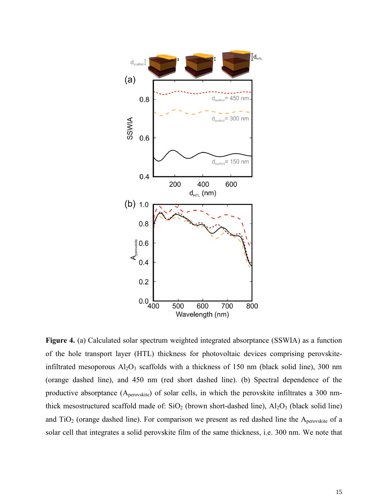

**Figure 4.** (a) Calculated solar spectrum weighted integrated absorptance (SSWIA) as a function of the hole transport layer (HTL) thickness for photovoltaic devices comprising perovskiteinfiltrated mesoporous  $Al_2O_3$  scaffolds with a thickness of 150 nm (black solid line), 300 nm (orange dashed line), and 450 nm (red short dashed line). (b) Spectral dependence of the productive absorptance (Aperovskite) of solar cells, in which the perovskite infiltrates a 300 nmthick mesostructured scaffold made of:  $SiO<sub>2</sub>$  (brown short-dashed line),  $Al<sub>2</sub>O<sub>3</sub>$  (black solid line) and  $TiO<sub>2</sub>$  (orange dashed line). For comparison we present as red dashed line the A<sub>perovskite</sub> of a solar cell that integrates a solid perovskite film of the same thickness, i.e. 300 nm. We note that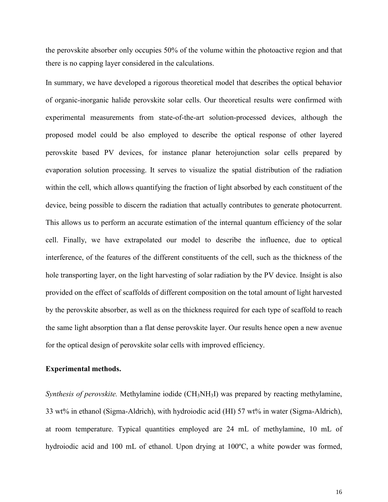the perovskite absorber only occupies 50% of the volume within the photoactive region and that there is no capping layer considered in the calculations.

In summary, we have developed a rigorous theoretical model that describes the optical behavior of organic-inorganic halide perovskite solar cells. Our theoretical results were confirmed with experimental measurements from state-of-the-art solution-processed devices, although the proposed model could be also employed to describe the optical response of other layered perovskite based PV devices, for instance planar heterojunction solar cells prepared by evaporation solution processing. It serves to visualize the spatial distribution of the radiation within the cell, which allows quantifying the fraction of light absorbed by each constituent of the device, being possible to discern the radiation that actually contributes to generate photocurrent. This allows us to perform an accurate estimation of the internal quantum efficiency of the solar cell. Finally, we have extrapolated our model to describe the influence, due to optical interference, of the features of the different constituents of the cell, such as the thickness of the hole transporting layer, on the light harvesting of solar radiation by the PV device. Insight is also provided on the effect of scaffolds of different composition on the total amount of light harvested by the perovskite absorber, as well as on the thickness required for each type of scaffold to reach the same light absorption than a flat dense perovskite layer. Our results hence open a new avenue for the optical design of perovskite solar cells with improved efficiency.

#### **Experimental methods.**

*Synthesis of perovskite.* Methylamine iodide (CH<sub>3</sub>NH<sub>3</sub>I) was prepared by reacting methylamine, 33 wt% in ethanol (Sigma-Aldrich), with hydroiodic acid (HI) 57 wt% in water (Sigma-Aldrich), at room temperature. Typical quantities employed are 24 mL of methylamine, 10 mL of hydroiodic acid and 100 mL of ethanol. Upon drying at 100°C, a white powder was formed,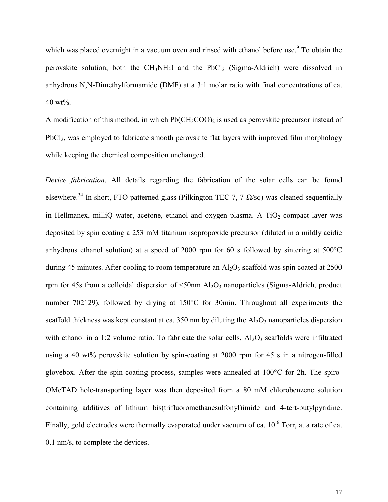which was placed overnight in a vacuum oven and rinsed with ethanol before use. $\degree$  To obtain the perovskite solution, both the  $CH_3NH_3I$  and the PbCl<sub>2</sub> (Sigma-Aldrich) were dissolved in anhydrous N,N-Dimethylformamide (DMF) at a 3:1 molar ratio with final concentrations of ca. 40 wt%.

A modification of this method, in which  $Pb(CH_3COO)_2$  is used as perovskite precursor instead of PbCl<sub>2</sub>, was employed to fabricate smooth perovskite flat layers with improved film morphology while keeping the chemical composition unchanged.

*Device fabrication*. All details regarding the fabrication of the solar cells can be found elsewhere.<sup>34</sup> In short, FTO patterned glass (Pilkington TEC 7, 7  $\Omega$ /sq) was cleaned sequentially in Hellmanex, milliQ water, acetone, ethanol and oxygen plasma. A  $TiO<sub>2</sub>$  compact layer was deposited by spin coating a 253 mM titanium isopropoxide precursor (diluted in a mildly acidic anhydrous ethanol solution) at a speed of 2000 rpm for 60 s followed by sintering at 500°C during 45 minutes. After cooling to room temperature an  $Al_2O_3$  scaffold was spin coated at 2500 rpm for 45s from a colloidal dispersion of  $\leq$ 50nm Al<sub>2</sub>O<sub>3</sub> nanoparticles (Sigma-Aldrich, product number 702129), followed by drying at 150°C for 30min. Throughout all experiments the scaffold thickness was kept constant at ca. 350 nm by diluting the  $Al_2O_3$  nanoparticles dispersion with ethanol in a 1:2 volume ratio. To fabricate the solar cells,  $Al_2O_3$  scaffolds were infiltrated using a 40 wt% perovskite solution by spin-coating at 2000 rpm for 45 s in a nitrogen-filled glovebox. After the spin-coating process, samples were annealed at  $100^{\circ}$ C for 2h. The spiro-OMeTAD hole-transporting layer was then deposited from a 80 mM chlorobenzene solution containing additives of lithium bis(trifluoromethanesulfonyl)imide and 4-tert-butylpyridine. Finally, gold electrodes were thermally evaporated under vacuum of ca.  $10^{-6}$  Torr, at a rate of ca. 0.1 nm/s, to complete the devices.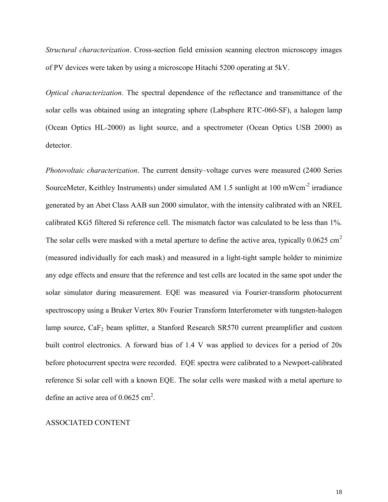*Structural characterization*. Cross-section field emission scanning electron microscopy images of PV devices were taken by using a microscope Hitachi 5200 operating at 5kV.

*Optical characterization.* The spectral dependence of the reflectance and transmittance of the solar cells was obtained using an integrating sphere (Labsphere RTC-060-SF), a halogen lamp (Ocean Optics HL-2000) as light source, and a spectrometer (Ocean Optics USB 2000) as detector.

*Photovoltaic characterization*. The current density–voltage curves were measured (2400 Series SourceMeter, Keithley Instruments) under simulated AM 1.5 sunlight at 100 mWcm<sup>-2</sup> irradiance generated by an Abet Class AAB sun 2000 simulator, with the intensity calibrated with an NREL calibrated KG5 filtered Si reference cell. The mismatch factor was calculated to be less than 1%. The solar cells were masked with a metal aperture to define the active area, typically  $0.0625 \text{ cm}^2$ (measured individually for each mask) and measured in a light-tight sample holder to minimize any edge effects and ensure that the reference and test cells are located in the same spot under the solar simulator during measurement. EQE was measured via Fourier-transform photocurrent spectroscopy using a Bruker Vertex 80v Fourier Transform Interferometer with tungsten-halogen lamp source,  $CaF<sub>2</sub>$  beam splitter, a Stanford Research SR570 current preamplifier and custom built control electronics. A forward bias of 1.4 V was applied to devices for a period of 20s before photocurrent spectra were recorded. EQE spectra were calibrated to a Newport-calibrated reference Si solar cell with a known EQE. The solar cells were masked with a metal aperture to define an active area of  $0.0625$  cm<sup>2</sup>.

### ASSOCIATED CONTENT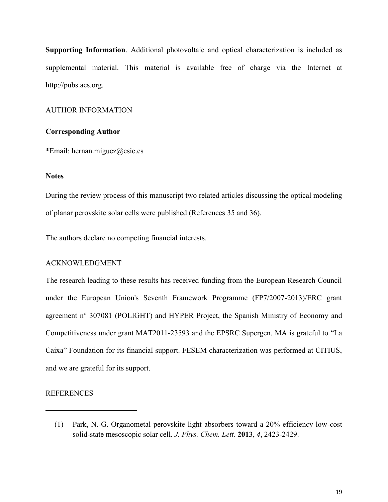**Supporting Information**. Additional photovoltaic and optical characterization is included as supplemental material. This material is available free of charge via the Internet at http://pubs.acs.org.

# AUTHOR INFORMATION

## **Corresponding Author**

\*Email: hernan.miguez@csic.es

## **Notes**

During the review process of this manuscript two related articles discussing the optical modeling of planar perovskite solar cells were published (References 35 and 36).

The authors declare no competing financial interests.

# ACKNOWLEDGMENT

The research leading to these results has received funding from the European Research Council under the European Union's Seventh Framework Programme (FP7/2007-2013)/ERC grant agreement n° 307081 (POLIGHT) and HYPER Project, the Spanish Ministry of Economy and Competitiveness under grant MAT2011-23593 and the EPSRC Supergen. MA is grateful to "La Caixa" Foundation for its financial support. FESEM characterization was performed at CITIUS, and we are grateful for its support.

#### REFERENCES

<sup>(1)</sup> Park, N.-G. Organometal perovskite light absorbers toward a 20% efficiency low-cost solid-state mesoscopic solar cell. *J. Phys. Chem. Lett.* **2013**, *4*, 2423-2429.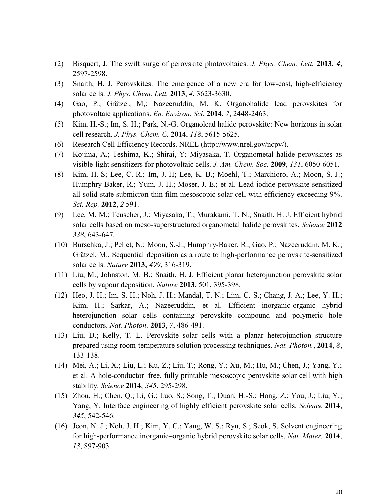- (2) Bisquert, J. The swift surge of perovskite photovoltaics. *J. Phys. Chem. Lett.* **2013**, *4*, 2597-2598.
- (3) Snaith, H. J. Perovskites: The emergence of a new era for low-cost, high-efficiency solar cells. *J. Phys. Chem. Lett.* **2013**, *4*, 3623-3630.
- (4) Gao, P.; Grätzel, M,; Nazeeruddin, M. K. Organohalide lead perovskites for photovoltaic applications. *En. Environ. Sci.* **2014**, *7*, 2448-2463.
- (5) Kim, H.-S.; Im, S. H.; Park, N.-G. Organolead halide perovskite: New horizons in solar cell research. *J. Phys. Chem. C.* **2014**, *118*, 5615-5625.
- (6) Research Cell Efficiency Records. NREL (http://www.nrel.gov/ncpv/).

- (7) Kojima, A.; Teshima, K.; Shirai, Y; Miyasaka, T. Organometal halide perovskites as visible-light sensitizers for photovoltaic cells. *J. Am. Chem. Soc.* **2009**, *131*, 6050-6051.
- (8) Kim, H.-S; Lee, C.-R.; Im, J.-H; Lee, K.-B.; Moehl, T.; Marchioro, A.; Moon, S.-J.; Humphry-Baker, R.; Yum, J. H.; Moser, J. E.; et al. Lead iodide perovskite sensitized all-solid-state submicron thin film mesoscopic solar cell with efficiency exceeding 9%. *Sci. Rep.* **2012**, *2* 591.
- (9) Lee, M. M.; Teuscher, J.; Miyasaka, T.; Murakami, T. N.; Snaith, H. J. Efficient hybrid solar cells based on meso-superstructured organometal halide perovskites. *Science* **2012** *338*, 643-647.
- (10) Burschka, J.; Pellet, N.; Moon, S.-J.; Humphry-Baker, R.; Gao, P.; Nazeeruddin, M. K.; Grätzel, M.. Sequential deposition as a route to high-performance perovskite-sensitized solar cells. *Nature* **2013**, *499*, 316-319.
- (11) Liu, M.; Johnston, M. B.; Snaith, H. J. Efficient planar heterojunction perovskite solar cells by vapour deposition. *Nature* **2013**, 501, 395-398.
- (12) Heo, J. H.; Im, S. H.; Noh, J. H.; Mandal, T. N.; Lim, C.-S.; Chang, J. A.; Lee, Y. H.; Kim, H.; Sarkar, A.; Nazeeruddin, et al. Efficient inorganic-organic hybrid heterojunction solar cells containing perovskite compound and polymeric hole conductors. *Nat. Photon.* **2013**, *7*, 486-491.
- (13) Liu, D.; Kelly, T. L. Perovskite solar cells with a planar heterojunction structure prepared using room-temperature solution processing techniques. *Nat. Photon.*, **2014**, *8*, 133-138.
- (14) Mei, A.; Li, X.; Liu, L.; Ku, Z.; Liu, T.; Rong, Y.; Xu, M.; Hu, M.; Chen, J.; Yang, Y.; et al. A hole-conductor–free, fully printable mesoscopic perovskite solar cell with high stability. *Science* **2014**, *345*, 295-298.
- (15) Zhou, H.; Chen, Q.; Li, G.; Luo, S.; Song, T.; Duan, H.-S.; Hong, Z.; You, J.; Liu, Y.; Yang, Y. Interface engineering of highly efficient perovskite solar cells. *Science* **2014**, *345*, 542-546.
- (16) Jeon, N. J.; Noh, J. H.; Kim, Y. C.; Yang, W. S.; Ryu, S.; Seok, S. Solvent engineering for high-performance inorganic–organic hybrid perovskite solar cells. *Nat. Mater.* **2014**, *13*, 897-903.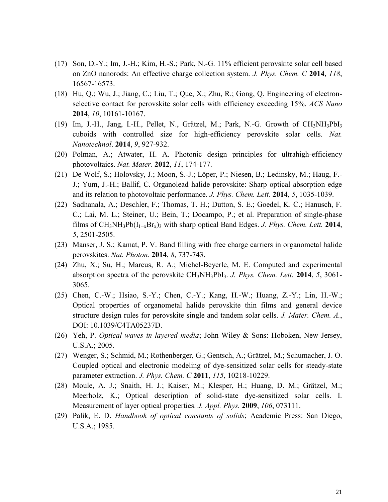(17) Son, D.-Y.; Im, J.-H.; Kim, H.-S.; Park, N.-G. 11% efficient perovskite solar cell based on ZnO nanorods: An effective charge collection system. *J. Phys. Chem. C* **2014**, *118*, 16567-16573.

- (18) Hu, Q.; Wu, J.; Jiang, C.; Liu, T.; Que, X.; Zhu, R.; Gong, Q. Engineering of electronselective contact for perovskite solar cells with efficiency exceeding 15%. *ACS Nano* **2014**, *10*, 10161-10167.
- (19) Im, J.-H., Jang, I.-H., Pellet, N., Grätzel, M.; Park, N.-G. Growth of CH3NH3PbI<sup>3</sup> cuboids with controlled size for high-efficiency perovskite solar cells. *Nat. Nanotechnol*. **2014**, *9*, 927-932.
- (20) Polman, A.; Atwater, H. A. Photonic design principles for ultrahigh-efficiency photovoltaics. *Nat. Mater.* **2012**, *11*, 174-177.
- (21) De Wolf, S.; Holovsky, J.; Moon, S.-J.; Löper, P.; Niesen, B.; Ledinsky, M.; Haug, F.- J.; Yum, J.-H.; Ballif, C. Organolead halide perovskite: Sharp optical absorption edge and its relation to photovoltaic performance. *J. Phys. Chem. Lett.* **2014**, *5*, 1035-1039.
- (22) Sadhanala, A.; Deschler, F.; Thomas, T. H.; Dutton, S. E.; Goedel, K. C.; Hanusch, F. C.; Lai, M. L.; Steiner, U.; Bein, T.; Docampo, P.; et al. Preparation of single-phase films of CH3NH3Pb(I1−xBrx)<sup>3</sup> with sharp optical Band Edges. *J. Phys. Chem. Lett.* **2014**, *5*, 2501-2505.
- (23) Manser, J. S.; Kamat, P. V. Band filling with free charge carriers in organometal halide perovskites. *Nat. Photon.* **2014**, *8*, 737-743.
- (24) Zhu, X.; Su, H.; Marcus, R. A.; Michel-Beyerle, M. E. Computed and experimental absorption spectra of the perovskite CH3NH3PbI3. *J. Phys. Chem. Lett.* **2014**, *5*, 3061- 3065.
- (25) Chen, C.-W.; Hsiao, S.-Y.; Chen, C.-Y.; Kang, H.-W.; Huang, Z.-Y.; Lin, H.-W.; Optical properties of organometal halide perovskite thin films and general device structure design rules for perovskite single and tandem solar cells. *J. Mater. Chem. A.*, DOI: 10.1039/C4TA05237D.
- (26) Yeh, P. *Optical waves in layered media*; John Wiley & Sons: Hoboken, New Jersey, U.S.A.; 2005.
- (27) Wenger, S.; Schmid, M.; Rothenberger, G.; Gentsch, A.; Grätzel, M.; Schumacher, J. O. Coupled optical and electronic modeling of dye-sensitized solar cells for steady-state parameter extraction. *J. Phys. Chem. C* **2011**, *115*, 10218-10229.
- (28) Moule, A. J.; Snaith, H. J.; Kaiser, M.; Klesper, H.; Huang, D. M.; Grätzel, M.; Meerholz, K.; Optical description of solid-state dye-sensitized solar cells. I. Measurement of layer optical properties. *J. Appl. Phys.* **2009**, *106*, 073111.
- (29) Palik, E. D. *Handbook of optical constants of solids*; Academic Press: San Diego, U.S.A.; 1985.